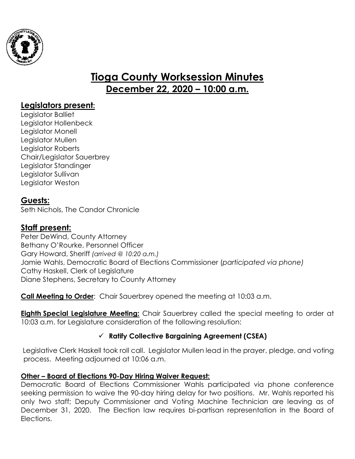

# **Tioga County Worksession Minutes December 22, 2020 – 10:00 a.m.**

# **Legislators present:**

Legislator Balliet Legislator Hollenbeck Legislator Monell Legislator Mullen Legislator Roberts Chair/Legislator Sauerbrey Legislator Standinger Legislator Sullivan Legislator Weston

# **Guests:**

Seth Nichols, The Candor Chronicle

# **Staff present:**

Peter DeWind, County Attorney Bethany O'Rourke, Personnel Officer Gary Howard, Sheriff *(arrived @ 10:20 a.m.)* Jamie Wahls, Democratic Board of Elections Commissioner (*participated via phone)* Cathy Haskell, Clerk of Legislature Diane Stephens, Secretary to County Attorney

**Call Meeting to Order**: Chair Sauerbrey opened the meeting at 10:03 a.m.

**Eighth Special Legislature Meeting:** Chair Sauerbrey called the special meeting to order at 10:03 a.m. for Legislature consideration of the following resolution:

#### **Ratify Collective Bargaining Agreement (CSEA)**

Legislative Clerk Haskell took roll call. Legislator Mullen lead in the prayer, pledge, and voting process. Meeting adjourned at 10:06 a.m.

#### **Other – Board of Elections 90-Day Hiring Waiver Request:**

Democratic Board of Elections Commissioner Wahls participated via phone conference seeking permission to waive the 90-day hiring delay for two positions. Mr. Wahls reported his only two staff; Deputy Commissioner and Voting Machine Technician are leaving as of December 31, 2020. The Election law requires bi-partisan representation in the Board of Elections.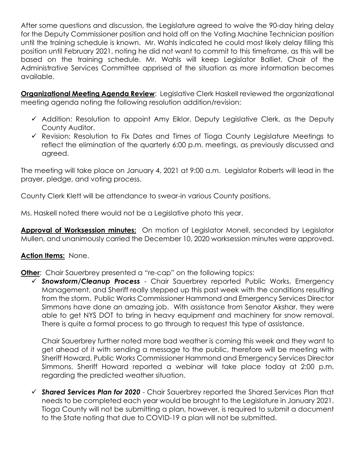After some questions and discussion, the Legislature agreed to waive the 90-day hiring delay for the Deputy Commissioner position and hold off on the Voting Machine Technician position until the training schedule is known. Mr. Wahls indicated he could most likely delay filling this position until February 2021, noting he did not want to commit to this timeframe, as this will be based on the training schedule. Mr. Wahls will keep Legislator Balliet, Chair of the Administrative Services Committee apprised of the situation as more information becomes available.

**Organizational Meeting Agenda Review**: Legislative Clerk Haskell reviewed the organizational meeting agenda noting the following resolution addition/revision:

- $\checkmark$  Addition: Resolution to appoint Amy Eiklor, Deputy Legislative Clerk, as the Deputy County Auditor.
- $\checkmark$  Revision: Resolution to Fix Dates and Times of Tioga County Legislature Meetings to reflect the elimination of the quarterly 6:00 p.m. meetings, as previously discussed and agreed.

The meeting will take place on January 4, 2021 at 9:00 a.m. Legislator Roberts will lead in the prayer, pledge, and voting process.

County Clerk Klett will be attendance to swear-in various County positions.

Ms. Haskell noted there would not be a Legislative photo this year.

**Approval of Worksession minutes:** On motion of Legislator Monell, seconded by Legislator Mullen, and unanimously carried the December 10, 2020 worksession minutes were approved.

#### **Action Items:** None.

**Other:** Chair Sauerbrey presented a "re-cap" on the following topics:

 *Snowstorm/Cleanup Process* - Chair Sauerbrey reported Public Works, Emergency Management, and Sheriff really stepped up this past week with the conditions resulting from the storm. Public Works Commissioner Hammond and Emergency Services Director Simmons have done an amazing job. With assistance from Senator Akshar, they were able to get NYS DOT to bring in heavy equipment and machinery for snow removal. There is quite a formal process to go through to request this type of assistance.

Chair Sauerbrey further noted more bad weather is coming this week and they want to get ahead of it with sending a message to the public, therefore will be meeting with Sheriff Howard, Public Works Commissioner Hammond and Emergency Services Director Simmons. Sheriff Howard reported a webinar will take place today at 2:00 p.m. regarding the predicted weather situation.

 *Shared Services Plan for 2020* - Chair Sauerbrey reported the Shared Services Plan that needs to be completed each year would be brought to the Legislature in January 2021. Tioga County will not be submitting a plan, however, is required to submit a document to the State noting that due to COVID-19 a plan will not be submitted.